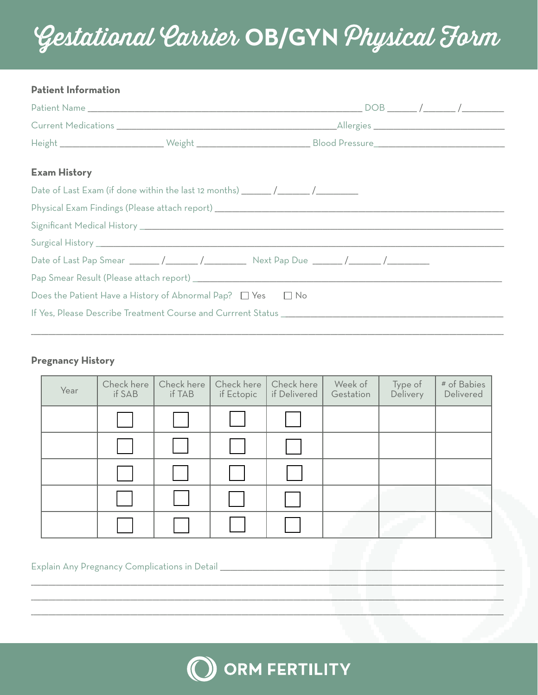# Gestational Carrier OB/GYN Physical Form

## **Patient Information**

| <b>Exam History</b> |                                                                       |  |  |  |
|---------------------|-----------------------------------------------------------------------|--|--|--|
|                     |                                                                       |  |  |  |
|                     |                                                                       |  |  |  |
|                     |                                                                       |  |  |  |
|                     |                                                                       |  |  |  |
|                     |                                                                       |  |  |  |
|                     |                                                                       |  |  |  |
|                     | Does the Patient Have a History of Abnormal Pap? $\Box$ Yes $\Box$ No |  |  |  |
|                     |                                                                       |  |  |  |

## **Pregnancy History**

| Year | Check here<br>if SAB | Check here<br>if TAB | Check here<br>if Ectopic | Check here<br>if Delivered | Week of<br>Gestation | Type of<br>Delivery | # of Babies<br>Delivered |
|------|----------------------|----------------------|--------------------------|----------------------------|----------------------|---------------------|--------------------------|
|      |                      |                      |                          |                            |                      |                     |                          |
|      |                      |                      |                          |                            |                      |                     |                          |
|      |                      |                      |                          |                            |                      |                     |                          |
|      |                      |                      |                          |                            |                      |                     |                          |
|      |                      |                      |                          |                            |                      |                     |                          |

#### Explain Any Pregnancy Complications in Detail \_